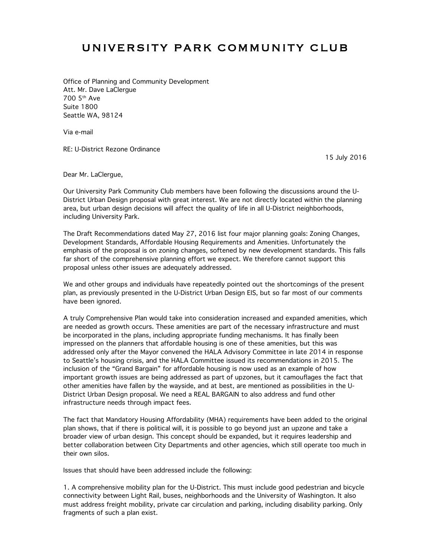## UNIVERSITY PARK COMMUNITY CLUB

Office of Planning and Community Development Att. Mr. Dave LaClergue 700 5th Ave Suite 1800 Seattle WA, 98124

Via e-mail

RE: U-District Rezone Ordinance

15 July 2016

Dear Mr. LaClergue,

Our University Park Community Club members have been following the discussions around the U-District Urban Design proposal with great interest. We are not directly located within the planning area, but urban design decisions will affect the quality of life in all U-District neighborhoods, including University Park.

The Draft Recommendations dated May 27, 2016 list four major planning goals: Zoning Changes, Development Standards, Affordable Housing Requirements and Amenities. Unfortunately the emphasis of the proposal is on zoning changes, softened by new development standards. This falls far short of the comprehensive planning effort we expect. We therefore cannot support this proposal unless other issues are adequately addressed.

We and other groups and individuals have repeatedly pointed out the shortcomings of the present plan, as previously presented in the U-District Urban Design EIS, but so far most of our comments have been ignored.

A truly Comprehensive Plan would take into consideration increased and expanded amenities, which are needed as growth occurs. These amenities are part of the necessary infrastructure and must be incorporated in the plans, including appropriate funding mechanisms. It has finally been impressed on the planners that affordable housing is one of these amenities, but this was addressed only after the Mayor convened the HALA Advisory Committee in late 2014 in response to Seattle's housing crisis, and the HALA Committee issued its recommendations in 2015. The inclusion of the "Grand Bargain" for affordable housing is now used as an example of how important growth issues are being addressed as part of upzones, but it camouflages the fact that other amenities have fallen by the wayside, and at best, are mentioned as possibilities in the U-District Urban Design proposal. We need a REAL BARGAIN to also address and fund other infrastructure needs through impact fees.

The fact that Mandatory Housing Affordability (MHA) requirements have been added to the original plan shows, that if there is political will, it is possible to go beyond just an upzone and take a broader view of urban design. This concept should be expanded, but it requires leadership and better collaboration between City Departments and other agencies, which still operate too much in their own silos.

Issues that should have been addressed include the following:

1. A comprehensive mobility plan for the U-District. This must include good pedestrian and bicycle connectivity between Light Rail, buses, neighborhoods and the University of Washington. It also must address freight mobility, private car circulation and parking, including disability parking. Only fragments of such a plan exist.